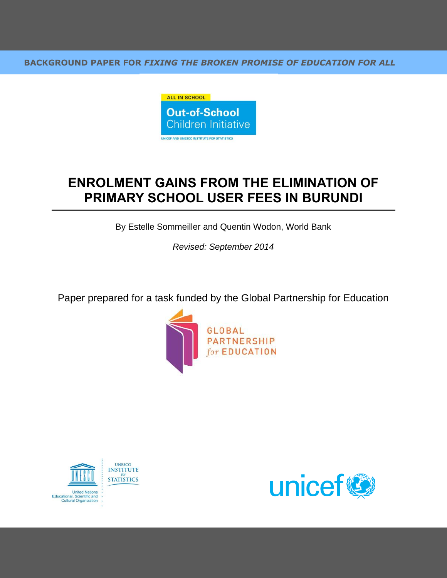**BACKGROUND PAPER FOR** *FIXING THE BROKEN PROMISE OF EDUCATION FOR ALL*



# **ENROLMENT GAINS FROM THE ELIMINATION OF PRIMARY SCHOOL USER FEES IN BURUNDI**

By Estelle Sommeiller and Quentin Wodon, World Bank

*Revised: September 2014*

Paper prepared for a task funded by the Global Partnership for Education





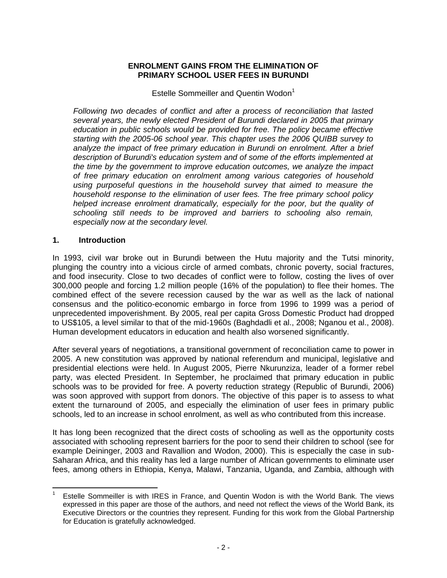#### **ENROLMENT GAINS FROM THE ELIMINATION OF PRIMARY SCHOOL USER FEES IN BURUNDI**

Estelle Sommeiller and Quentin Wodon<sup>1</sup>

*Following two decades of conflict and after a process of reconciliation that lasted several years, the newly elected President of Burundi declared in 2005 that primary education in public schools would be provided for free. The policy became effective starting with the 2005-06 school year. This chapter uses the 2006 QUIBB survey to*  analyze the impact of free primary education in Burundi on enrolment. After a brief *description of Burundi's education system and of some of the efforts implemented at the time by the government to improve education outcomes, we analyze the impact of free primary education on enrolment among various categories of household using purposeful questions in the household survey that aimed to measure the household response to the elimination of user fees. The free primary school policy helped increase enrolment dramatically, especially for the poor, but the quality of schooling still needs to be improved and barriers to schooling also remain, especially now at the secondary level.*

#### **1. Introduction**

In 1993, civil war broke out in Burundi between the Hutu majority and the Tutsi minority, plunging the country into a vicious circle of armed combats, chronic poverty, social fractures, and food insecurity. Close to two decades of conflict were to follow, costing the lives of over 300,000 people and forcing 1.2 million people (16% of the population) to flee their homes. The combined effect of the severe recession caused by the war as well as the lack of national consensus and the politico-economic embargo in force from 1996 to 1999 was a period of unprecedented impoverishment. By 2005, real per capita Gross Domestic Product had dropped to US\$105, a level similar to that of the mid-1960s (Baghdadli et al., 2008; Nganou et al., 2008). Human development educators in education and health also worsened significantly.

After several years of negotiations, a transitional government of reconciliation came to power in 2005. A new constitution was approved by national referendum and municipal, legislative and presidential elections were held. In August 2005, Pierre Nkurunziza, leader of a former rebel party, was elected President. In September, he proclaimed that primary education in public schools was to be provided for free. A poverty reduction strategy (Republic of Burundi, 2006) was soon approved with support from donors. The objective of this paper is to assess to what extent the turnaround of 2005, and especially the elimination of user fees in primary public schools, led to an increase in school enrolment, as well as who contributed from this increase.

It has long been recognized that the direct costs of schooling as well as the opportunity costs associated with schooling represent barriers for the poor to send their children to school (see for example Deininger, 2003 and Ravallion and Wodon, 2000). This is especially the case in sub-Saharan Africa, and this reality has led a large number of African governments to eliminate user fees, among others in Ethiopia, Kenya, Malawi, Tanzania, Uganda, and Zambia, although with

 $\overline{a}$ <sup>1</sup> Estelle Sommeiller is with IRES in France, and Quentin Wodon is with the World Bank. The views expressed in this paper are those of the authors, and need not reflect the views of the World Bank, its Executive Directors or the countries they represent. Funding for this work from the Global Partnership for Education is gratefully acknowledged.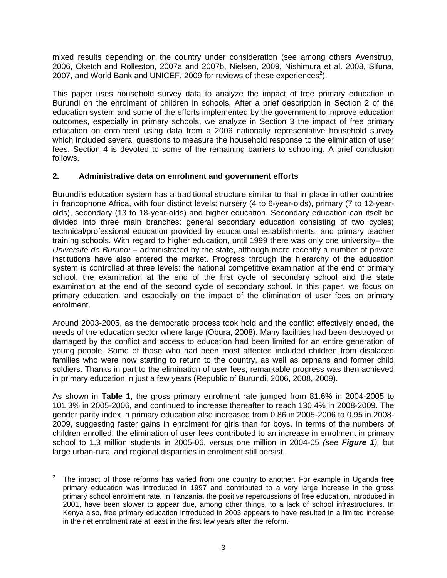mixed results depending on the country under consideration (see among others Avenstrup, 2006, Oketch and Rolleston, 2007a and 2007b, Nielsen, 2009, Nishimura et al. 2008, Sifuna, 2007, and World Bank and UNICEF, 2009 for reviews of these experiences<sup>2</sup>).

This paper uses household survey data to analyze the impact of free primary education in Burundi on the enrolment of children in schools. After a brief description in Section 2 of the education system and some of the efforts implemented by the government to improve education outcomes, especially in primary schools, we analyze in Section 3 the impact of free primary education on enrolment using data from a 2006 nationally representative household survey which included several questions to measure the household response to the elimination of user fees. Section 4 is devoted to some of the remaining barriers to schooling. A brief conclusion follows.

## **2. Administrative data on enrolment and government efforts**

Burundi's education system has a traditional structure similar to that in place in other countries in francophone Africa, with four distinct levels: nursery (4 to 6-year-olds), primary (7 to 12-yearolds), secondary (13 to 18-year-olds) and higher education. Secondary education can itself be divided into three main branches: general secondary education consisting of two cycles; technical/professional education provided by educational establishments; and primary teacher training schools. With regard to higher education, until 1999 there was only one university– the *Université de Burundi* – administrated by the state, although more recently a number of private institutions have also entered the market. Progress through the hierarchy of the education system is controlled at three levels: the national competitive examination at the end of primary school, the examination at the end of the first cycle of secondary school and the state examination at the end of the second cycle of secondary school. In this paper, we focus on primary education, and especially on the impact of the elimination of user fees on primary enrolment.

Around 2003-2005, as the democratic process took hold and the conflict effectively ended, the needs of the education sector where large (Obura, 2008). Many facilities had been destroyed or damaged by the conflict and access to education had been limited for an entire generation of young people. Some of those who had been most affected included children from displaced families who were now starting to return to the country, as well as orphans and former child soldiers. Thanks in part to the elimination of user fees, remarkable progress was then achieved in primary education in just a few years (Republic of Burundi, 2006, 2008, 2009).

As shown in **Table 1**, the gross primary enrolment rate jumped from 81.6% in 2004-2005 to 101.3% in 2005-2006, and continued to increase thereafter to reach 130.4% in 2008-2009. The gender parity index in primary education also increased from 0.86 in 2005-2006 to 0.95 in 2008- 2009, suggesting faster gains in enrolment for girls than for boys. In terms of the numbers of children enrolled, the elimination of user fees contributed to an increase in enrolment in primary school to 1.3 million students in 2005-06, versus one million in 2004-05 *(see Figure 1),* but large urban-rural and regional disparities in enrolment still persist.

 $\frac{1}{2}$ The impact of those reforms has varied from one country to another. For example in Uganda free primary education was introduced in 1997 and contributed to a very large increase in the gross primary school enrolment rate. In Tanzania, the positive repercussions of free education, introduced in 2001, have been slower to appear due, among other things, to a lack of school infrastructures. In Kenya also, free primary education introduced in 2003 appears to have resulted in a limited increase in the net enrolment rate at least in the first few years after the reform.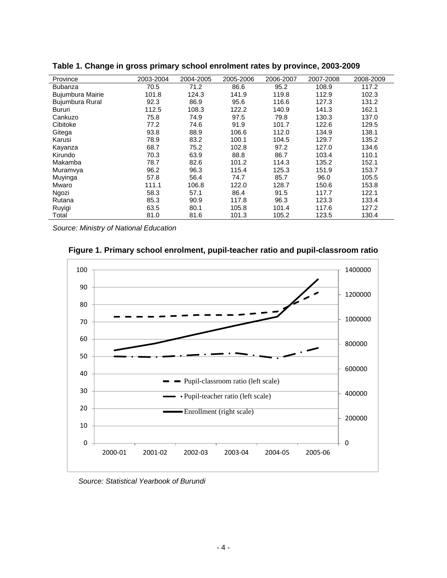| Province         | 2003-2004 | 2004-2005 | 2005-2006 | 2006-2007 | 2007-2008 | 2008-2009 |
|------------------|-----------|-----------|-----------|-----------|-----------|-----------|
| <b>Bubanza</b>   | 70.5      | 71.2      | 86.6      | 95.2      | 108.9     | 117.2     |
| Bujumbura Mairie | 101.8     | 124.3     | 141.9     | 119.8     | 112.9     | 102.3     |
| Bujumbura Rural  | 92.3      | 86.9      | 95.6      | 116.6     | 127.3     | 131.2     |
| Bururi           | 112.5     | 108.3     | 122.2     | 140.9     | 141.3     | 162.1     |
| Cankuzo          | 75.8      | 74.9      | 97.5      | 79.8      | 130.3     | 137.0     |
| Cibitoke         | 77.2      | 74.6      | 91.9      | 101.7     | 122.6     | 129.5     |
| Gitega           | 93.8      | 88.9      | 106.6     | 112.0     | 134.9     | 138.1     |
| Karusi           | 78.9      | 83.2      | 100.1     | 104.5     | 129.7     | 135.2     |
| Kayanza          | 68.7      | 75.2      | 102.8     | 97.2      | 127.0     | 134.6     |
| Kirundo          | 70.3      | 63.9      | 88.8      | 86.7      | 103.4     | 110.1     |
| Makamba          | 78.7      | 82.6      | 101.2     | 114.3     | 135.2     | 152.1     |
| Muramvya         | 96.2      | 96.3      | 115.4     | 125.3     | 151.9     | 153.7     |
| Muyinga          | 57.8      | 56.4      | 74.7      | 85.7      | 96.0      | 105.5     |
| Mwaro            | 111.1     | 106.8     | 122.0     | 128.7     | 150.6     | 153.8     |
| Ngozi            | 58.3      | 57.1      | 86.4      | 91.5      | 117.7     | 122.1     |
| Rutana           | 85.3      | 90.9      | 117.8     | 96.3      | 123.3     | 133.4     |
| Ruyigi           | 63.5      | 80.1      | 105.8     | 101.4     | 117.6     | 127.2     |
| Total            | 81.0      | 81.6      | 101.3     | 105.2     | 123.5     | 130.4     |

**Table 1. Change in gross primary school enrolment rates by province, 2003-2009** 

*Source: Ministry of National Education*





*Source: Statistical Yearbook of Burundi*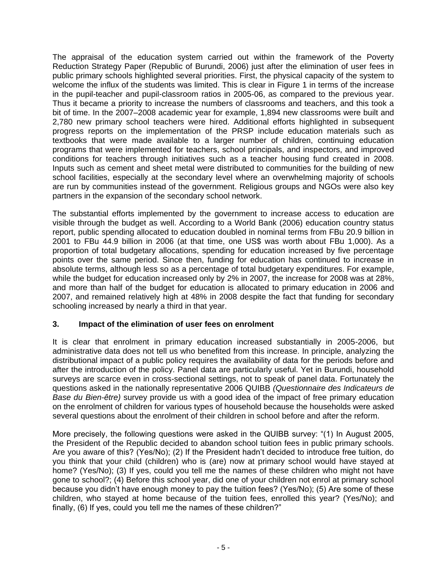The appraisal of the education system carried out within the framework of the Poverty Reduction Strategy Paper (Republic of Burundi, 2006) just after the elimination of user fees in public primary schools highlighted several priorities. First, the physical capacity of the system to welcome the influx of the students was limited. This is clear in Figure 1 in terms of the increase in the pupil-teacher and pupil-classroom ratios in 2005-06, as compared to the previous year. Thus it became a priority to increase the numbers of classrooms and teachers, and this took a bit of time. In the 2007–2008 academic year for example, 1,894 new classrooms were built and 2,780 new primary school teachers were hired. Additional efforts highlighted in subsequent progress reports on the implementation of the PRSP include education materials such as textbooks that were made available to a larger number of children, continuing education programs that were implemented for teachers, school principals, and inspectors, and improved conditions for teachers through initiatives such as a teacher housing fund created in 2008. Inputs such as cement and sheet metal were distributed to communities for the building of new school facilities, especially at the secondary level where an overwhelming majority of schools are run by communities instead of the government. Religious groups and NGOs were also key partners in the expansion of the secondary school network.

The substantial efforts implemented by the government to increase access to education are visible through the budget as well. According to a World Bank (2006) education country status report, public spending allocated to education doubled in nominal terms from FBu 20.9 billion in 2001 to FBu 44.9 billion in 2006 (at that time, one US\$ was worth about FBu 1,000). As a proportion of total budgetary allocations, spending for education increased by five percentage points over the same period. Since then, funding for education has continued to increase in absolute terms, although less so as a percentage of total budgetary expenditures. For example, while the budget for education increased only by 2% in 2007, the increase for 2008 was at 28%, and more than half of the budget for education is allocated to primary education in 2006 and 2007, and remained relatively high at 48% in 2008 despite the fact that funding for secondary schooling increased by nearly a third in that year.

## **3. Impact of the elimination of user fees on enrolment**

It is clear that enrolment in primary education increased substantially in 2005-2006, but administrative data does not tell us who benefited from this increase. In principle, analyzing the distributional impact of a public policy requires the availability of data for the periods before and after the introduction of the policy. Panel data are particularly useful. Yet in Burundi, household surveys are scarce even in cross-sectional settings, not to speak of panel data. Fortunately the questions asked in the nationally representative 2006 QUIBB *(Questionnaire des Indicateurs de Base du Bien-être)* survey provide us with a good idea of the impact of free primary education on the enrolment of children for various types of household because the households were asked several questions about the enrolment of their children in school before and after the reform.

More precisely, the following questions were asked in the QUIBB survey: "(1) In August 2005, the President of the Republic decided to abandon school tuition fees in public primary schools. Are you aware of this? (Yes/No); (2) If the President hadn't decided to introduce free tuition, do you think that your child (children) who is (are) now at primary school would have stayed at home? (Yes/No); (3) If yes, could you tell me the names of these children who might not have gone to school?; (4) Before this school year, did one of your children not enrol at primary school because you didn't have enough money to pay the tuition fees? (Yes/No); (5) Are some of these children, who stayed at home because of the tuition fees, enrolled this year? (Yes/No); and finally, (6) If yes, could you tell me the names of these children?"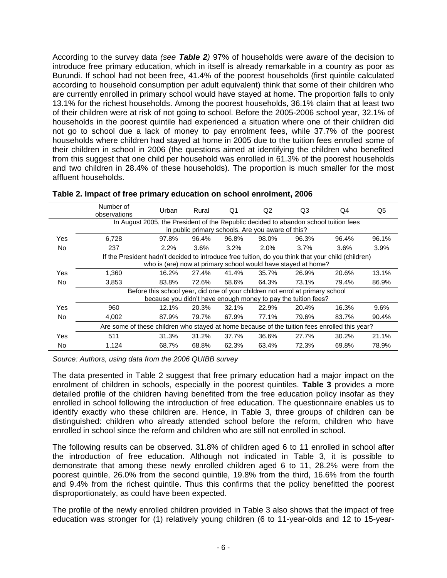According to the survey data *(see Table 2)* 97% of households were aware of the decision to introduce free primary education, which in itself is already remarkable in a country as poor as Burundi. If school had not been free, 41.4% of the poorest households (first quintile calculated according to household consumption per adult equivalent) think that some of their children who are currently enrolled in primary school would have stayed at home. The proportion falls to only 13.1% for the richest households. Among the poorest households, 36.1% claim that at least two of their children were at risk of not going to school. Before the 2005-2006 school year, 32.1% of households in the poorest quintile had experienced a situation where one of their children did not go to school due a lack of money to pay enrolment fees, while 37.7% of the poorest households where children had stayed at home in 2005 due to the tuition fees enrolled some of their children in school in 2006 (the questions aimed at identifying the children who benefited from this suggest that one child per household was enrolled in 61.3% of the poorest households and two children in 28.4% of these households). The proportion is much smaller for the most affluent households.

|           | Number of<br>observations                                                                          | Urban                                                                                | Rural | Q1      | Q2                                                | Q3    | Q4      | Q5    |  |  |  |
|-----------|----------------------------------------------------------------------------------------------------|--------------------------------------------------------------------------------------|-------|---------|---------------------------------------------------|-------|---------|-------|--|--|--|
|           |                                                                                                    | In August 2005, the President of the Republic decided to abandon school tuition fees |       |         |                                                   |       |         |       |  |  |  |
|           |                                                                                                    |                                                                                      |       |         | in public primary schools. Are you aware of this? |       |         |       |  |  |  |
| Yes       | 6.728                                                                                              | 97.8%                                                                                | 96.4% | 96.8%   | 98.0%                                             | 96.3% | 96.4%   | 96.1% |  |  |  |
| <b>No</b> | 237                                                                                                | 2.2%                                                                                 | 3.6%  | $3.2\%$ | $2.0\%$                                           | 3.7%  | $3.6\%$ | 3.9%  |  |  |  |
|           | If the President hadn't decided to introduce free tuition, do you think that your child (children) |                                                                                      |       |         |                                                   |       |         |       |  |  |  |
|           |                                                                                                    | who is (are) now at primary school would have stayed at home?                        |       |         |                                                   |       |         |       |  |  |  |
| Yes       | 1.360                                                                                              | 16.2%                                                                                | 27.4% | 41.4%   | 35.7%                                             | 26.9% | 20.6%   | 13.1% |  |  |  |
| No.       | 3.853                                                                                              | 83.8%                                                                                | 72.6% | 58.6%   | 64.3%                                             | 73.1% | 79.4%   | 86.9% |  |  |  |
|           | Before this school year, did one of your children not enrol at primary school                      |                                                                                      |       |         |                                                   |       |         |       |  |  |  |
|           |                                                                                                    | because you didn't have enough money to pay the tuition fees?                        |       |         |                                                   |       |         |       |  |  |  |
| Yes       | 960                                                                                                | 12.1%                                                                                | 20.3% | 32.1%   | 22.9%                                             | 20.4% | 16.3%   | 9.6%  |  |  |  |
| No.       | 4,002                                                                                              | 87.9%                                                                                | 79.7% | 67.9%   | 77.1%                                             | 79.6% | 83.7%   | 90.4% |  |  |  |
|           | Are some of these children who stayed at home because of the tuition fees enrolled this year?      |                                                                                      |       |         |                                                   |       |         |       |  |  |  |
| Yes       | 511                                                                                                | 31.3%                                                                                | 31.2% | 37.7%   | 36.6%                                             | 27.7% | 30.2%   | 21.1% |  |  |  |
| No.       | 1,124                                                                                              | 68.7%                                                                                | 68.8% | 62.3%   | 63.4%                                             | 72.3% | 69.8%   | 78.9% |  |  |  |

|  |  |  |  |  | Table 2. Impact of free primary education on school enrolment, 2006 |  |  |  |  |
|--|--|--|--|--|---------------------------------------------------------------------|--|--|--|--|
|--|--|--|--|--|---------------------------------------------------------------------|--|--|--|--|

*Source: Authors, using data from the 2006 QUIBB survey*

The data presented in Table 2 suggest that free primary education had a major impact on the enrolment of children in schools, especially in the poorest quintiles. **Table 3** provides a more detailed profile of the children having benefited from the free education policy insofar as they enrolled in school following the introduction of free education. The questionnaire enables us to identify exactly who these children are. Hence, in Table 3, three groups of children can be distinguished: children who already attended school before the reform, children who have enrolled in school since the reform and children who are still not enrolled in school.

The following results can be observed. 31.8% of children aged 6 to 11 enrolled in school after the introduction of free education. Although not indicated in Table 3, it is possible to demonstrate that among these newly enrolled children aged 6 to 11, 28.2% were from the poorest quintile, 26.0% from the second quintile, 19.8% from the third, 16.6% from the fourth and 9.4% from the richest quintile. Thus this confirms that the policy benefitted the poorest disproportionately, as could have been expected.

The profile of the newly enrolled children provided in Table 3 also shows that the impact of free education was stronger for (1) relatively young children (6 to 11-year-olds and 12 to 15-year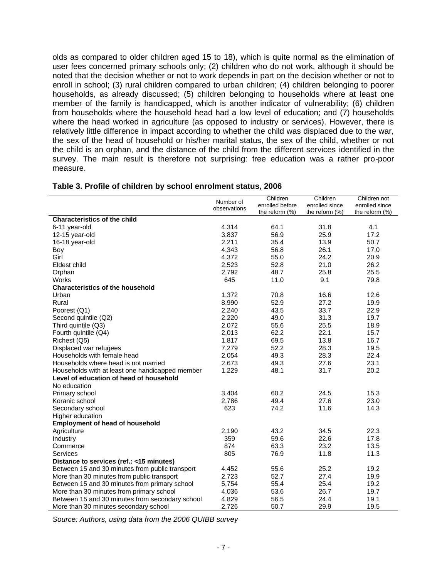olds as compared to older children aged 15 to 18), which is quite normal as the elimination of user fees concerned primary schools only; (2) children who do not work, although it should be noted that the decision whether or not to work depends in part on the decision whether or not to enroll in school; (3) rural children compared to urban children; (4) children belonging to poorer households, as already discussed; (5) children belonging to households where at least one member of the family is handicapped, which is another indicator of vulnerability; (6) children from households where the household head had a low level of education; and (7) households where the head worked in agriculture (as opposed to industry or services). However, there is relatively little difference in impact according to whether the child was displaced due to the war, the sex of the head of household or his/her marital status, the sex of the child, whether or not the child is an orphan, and the distance of the child from the different services identified in the survey. The main result is therefore not surprising: free education was a rather pro-poor measure.

|                                                 | Number of    | Children          | Children          | Children not      |
|-------------------------------------------------|--------------|-------------------|-------------------|-------------------|
|                                                 | observations | enrolled before   | enrolled since    | enrolled since    |
|                                                 |              | the reform $(\%)$ | the reform $(\%)$ | the reform $(\%)$ |
| <b>Characteristics of the child</b>             |              |                   |                   |                   |
| 6-11 year-old                                   | 4,314        | 64.1              | 31.8              | 4.1               |
| 12-15 year-old                                  | 3,837        | 56.9              | 25.9              | 17.2              |
| 16-18 year-old                                  | 2,211        | 35.4              | 13.9              | 50.7              |
| Boy                                             | 4,343        | 56.8              | 26.1              | 17.0              |
| Girl                                            | 4,372        | 55.0              | 24.2              | 20.9              |
| Eldest child                                    | 2,523        | 52.8              | 21.0              | 26.2              |
| Orphan                                          | 2,792        | 48.7              | 25.8              | 25.5              |
| <b>Works</b>                                    | 645          | 11.0              | 9.1               | 79.8              |
| <b>Characteristics of the household</b>         |              |                   |                   |                   |
| Urban                                           | 1,372        | 70.8              | 16.6              | 12.6              |
| Rural                                           | 8,990        | 52.9              | 27.2              | 19.9              |
| Poorest (Q1)                                    | 2,240        | 43.5              | 33.7              | 22.9              |
| Second quintile (Q2)                            | 2,220        | 49.0              | 31.3              | 19.7              |
| Third quintile (Q3)                             | 2,072        | 55.6              | 25.5              | 18.9              |
| Fourth quintile (Q4)                            | 2,013        | 62.2              | 22.1              | 15.7              |
| Richest (Q5)                                    | 1,817        | 69.5              | 13.8              | 16.7              |
| Displaced war refugees                          | 7,279        | 52.2              | 28.3              | 19.5              |
| Households with female head                     | 2,054        | 49.3              | 28.3              | 22.4              |
| Households where head is not married            | 2,673        | 49.3              | 27.6              | 23.1              |
| Households with at least one handicapped member | 1,229        | 48.1              | 31.7              | 20.2              |
| Level of education of head of household         |              |                   |                   |                   |
| No education                                    |              |                   |                   |                   |
| Primary school                                  | 3,404        | 60.2              | 24.5              | 15.3              |
| Koranic school                                  | 2,786        | 49.4              | 27.6              | 23.0              |
| Secondary school                                | 623          | 74.2              | 11.6              | 14.3              |
| Higher education                                |              |                   |                   |                   |
| <b>Employment of head of household</b>          |              |                   |                   |                   |
| Agriculture                                     | 2,190        | 43.2              | 34.5              | 22.3              |
| Industry                                        | 359          | 59.6              | 22.6              | 17.8              |
| Commerce                                        | 874          | 63.3              | 23.2              | 13.5              |
| <b>Services</b>                                 | 805          | 76.9              | 11.8              | 11.3              |
| Distance to services (ref.: <15 minutes)        |              |                   |                   |                   |
| Between 15 and 30 minutes from public transport | 4,452        | 55.6              | 25.2              | 19.2              |
| More than 30 minutes from public transport      | 2,723        | 52.7              | 27.4              | 19.9              |
| Between 15 and 30 minutes from primary school   | 5,754        | 55.4              | 25.4              | 19.2              |
| More than 30 minutes from primary school        | 4,036        | 53.6              | 26.7              | 19.7              |
| Between 15 and 30 minutes from secondary school | 4,829        | 56.5              | 24.4              | 19.1              |
|                                                 |              | 50.7              | 29.9              | 19.5              |
| More than 30 minutes secondary school           | 2,726        |                   |                   |                   |

#### **Table 3. Profile of children by school enrolment status, 2006**

*Source: Authors, using data from the 2006 QUIBB survey*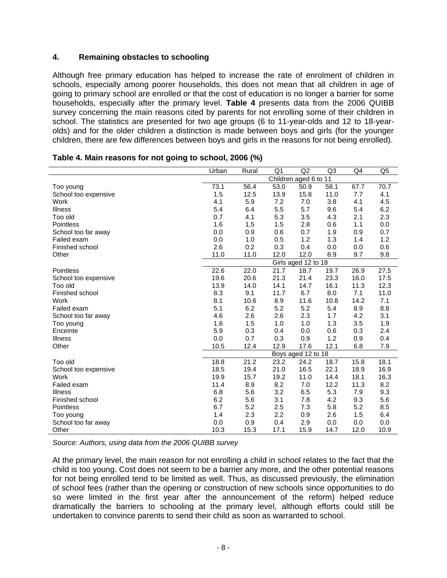## **4. Remaining obstacles to schooling**

Although free primary education has helped to increase the rate of enrolment of children in schools, especially among poorer households, this does not mean that all children in age of going to primary school are enrolled or that the cost of education is no longer a barrier for some households, especially after the primary level. **Table 4** presents data from the 2006 QUIBB survey concerning the main reasons cited by parents for not enrolling some of their children in school. The statistics are presented for two age groups (6 to 11-year-olds and 12 to 18-yearolds) and for the older children a distinction is made between boys and girls (for the younger children, there are few differences between boys and girls in the reasons for not being enrolled).

|                      | Urban                 | Rural | Q <sub>1</sub> | Q2                         | Q <sub>3</sub> | Q4   | Q <sub>5</sub> |
|----------------------|-----------------------|-------|----------------|----------------------------|----------------|------|----------------|
|                      | Children aged 6 to 11 |       |                |                            |                |      |                |
| Too young            | 73.1                  | 56.4  | 53.0           | 50.9                       | 58.1           | 67.7 | 70.7           |
| School too expensive | 1.5                   | 12.5  | 13.9           | 15.8                       | 11.0           | 7.7  | 4.1            |
| Work                 | 4.1                   | 5.9   | 7.2            | 7.0                        | 3.8            | 4.1  | 4.5            |
| <b>Illness</b>       | 5.4                   | 6.4   | 5.5            | 5.7                        | 9.6            | 5.4  | 6.2            |
| Too old              | 0.7                   | 4.1   | 5.3            | 3.5                        | 4.3            | 2.1  | 2.3            |
| Pointless            | 1.6                   | 1.5   | 1.5            | 2.8                        | 0.6            | 1.1  | 0.0            |
| School too far away  | 0.0                   | 0.9   | 0.6            | 0.7                        | 1.9            | 0.9  | 0.7            |
| Failed exam          | 0.0                   | 1.0   | 0.5            | 1.2                        | 1.3            | 1.4  | 1.2            |
| Finished school      | 2.6                   | 0.2   | 0.3            | 0.4                        | 0.0            | 0.0  | 0.6            |
| Other                | 11.0                  | 11.0  | 12.0           | 12.0                       | 8.9            | 9.7  | 9.8            |
|                      |                       |       |                | Girls aged 12 to 18        |                |      |                |
| Pointless            | 22.6                  | 22.0  | 21.7           | 18.7                       | 19.7           | 26.9 | 27.5           |
| School too expensive | 19.6                  | 20.6  | 21.3           | 21.4                       | 23.3           | 16.0 | 17.5           |
| Too old              | 13.9                  | 14.0  | 14.1           | 14.7                       | 16.1           | 11.3 | 12.3           |
| Finished school      | 8.3                   | 9.1   | 11.7           | 6.7                        | 8.0            | 7.1  | 11.0           |
| Work                 | 8.1                   | 10.6  | 8.9            | 11.6                       | 10.8           | 14.2 | 7.1            |
| Failed exam          | 5.1                   | 6.2   | 5.2            | 5.2                        | 5.4            | 8.9  | 8.8            |
| School too far away  | 4.6                   | 2.6   | 2.6            | 2.3                        | 1.7            | 4.2  | 3.1            |
| Too young            | 1.6                   | 1.5   | 1.0            | 1.0                        | 1.3            | 3.5  | 1.9            |
| Enceinte             | 5.9                   | 0.3   | 0.4            | 0.0                        | 0.6            | 0.3  | 2.4            |
| <b>Illness</b>       | 0.0                   | 0.7   | 0.3            | 0.9                        | 1.2            | 0.9  | 0.4            |
| Other                | 10.5                  | 12.4  | 12.9           | 17.6<br>Boys aged 12 to 18 | 12.1           | 6.8  | 7.9            |
|                      |                       |       |                |                            |                |      |                |
| Too old              | 18.8                  | 21.2  | 23.2           | 24.2                       | 18.7           | 15.8 | 18.1           |
| School too expensive | 18.5                  | 19.4  | 21.0           | 16.5                       | 22.1           | 18.9 | 16.9           |
| Work                 | 19.9                  | 15.7  | 19.2           | 11.0                       | 14.4           | 18.1 | 16.3           |
| Failed exam          | 11.4                  | 8.9   | 8.2            | 7.0                        | 12.2           | 11.3 | 8.2            |
| <b>Illness</b>       | 6.8                   | 5.6   | 3.2            | 6.5                        | 5.3            | 7.9  | 9.3            |
| Finished school      | 6.2                   | 5.6   | 3.1            | 7.8                        | 4.2            | 9.3  | 5.6            |
| Pointless            | 6.7                   | 5.2   | 2.5            | 7.3                        | 5.8            | 5.2  | 8.5            |
| Too young            | 1.4                   | 2.3   | 2.2            | 0.9                        | 2.6            | 1.5  | 6.4            |
| School too far away  | 0.0                   | 0.9   | 0.4            | 2.9                        | 0.0            | 0.0  | 0.0            |
| Other                | 10.3                  | 15.3  | 17.1           | 15.9                       | 14.7           | 12.0 | 10.9           |

|  | Table 4. Main reasons for not going to school, 2006 (%) |  |  |  |  |
|--|---------------------------------------------------------|--|--|--|--|
|  |                                                         |  |  |  |  |

*Source: Authors, using data from the 2006 QUIBB survey*

At the primary level, the main reason for not enrolling a child in school relates to the fact that the child is too young. Cost does not seem to be a barrier any more, and the other potential reasons for not being enrolled tend to be limited as well. Thus, as discussed previously, the elimination of school fees (rather than the opening or construction of new schools since opportunities to do so were limited in the first year after the announcement of the reform) helped reduce dramatically the barriers to schooling at the primary level, although efforts could still be undertaken to convince parents to send their child as soon as warranted to school.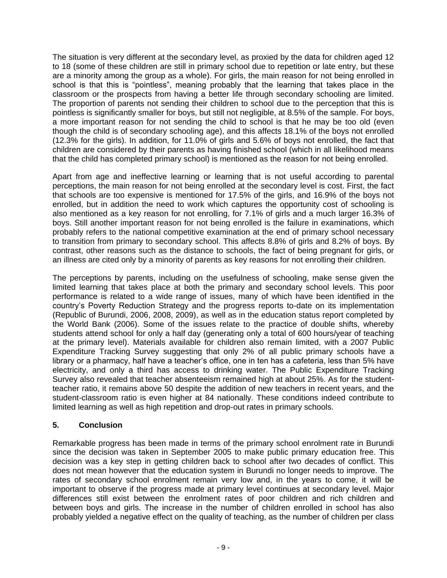The situation is very different at the secondary level, as proxied by the data for children aged 12 to 18 (some of these children are still in primary school due to repetition or late entry, but these are a minority among the group as a whole). For girls, the main reason for not being enrolled in school is that this is "pointless", meaning probably that the learning that takes place in the classroom or the prospects from having a better life through secondary schooling are limited. The proportion of parents not sending their children to school due to the perception that this is pointless is significantly smaller for boys, but still not negligible, at 8.5% of the sample. For boys, a more important reason for not sending the child to school is that he may be too old (even though the child is of secondary schooling age), and this affects 18.1% of the boys not enrolled (12.3% for the girls). In addition, for 11.0% of girls and 5.6% of boys not enrolled, the fact that children are considered by their parents as having finished school (which in all likelihood means that the child has completed primary school) is mentioned as the reason for not being enrolled.

Apart from age and ineffective learning or learning that is not useful according to parental perceptions, the main reason for not being enrolled at the secondary level is cost. First, the fact that schools are too expensive is mentioned for 17.5% of the girls, and 16.9% of the boys not enrolled, but in addition the need to work which captures the opportunity cost of schooling is also mentioned as a key reason for not enrolling, for 7.1% of girls and a much larger 16.3% of boys. Still another important reason for not being enrolled is the failure in examinations, which probably refers to the national competitive examination at the end of primary school necessary to transition from primary to secondary school. This affects 8.8% of girls and 8.2% of boys. By contrast, other reasons such as the distance to schools, the fact of being pregnant for girls, or an illness are cited only by a minority of parents as key reasons for not enrolling their children.

The perceptions by parents, including on the usefulness of schooling, make sense given the limited learning that takes place at both the primary and secondary school levels. This poor performance is related to a wide range of issues, many of which have been identified in the country's Poverty Reduction Strategy and the progress reports to-date on its implementation (Republic of Burundi, 2006, 2008, 2009), as well as in the education status report completed by the World Bank (2006). Some of the issues relate to the practice of double shifts, whereby students attend school for only a half day (generating only a total of 600 hours/year of teaching at the primary level). Materials available for children also remain limited, with a 2007 Public Expenditure Tracking Survey suggesting that only 2% of all public primary schools have a library or a pharmacy, half have a teacher's office, one in ten has a cafeteria, less than 5% have electricity, and only a third has access to drinking water. The Public Expenditure Tracking Survey also revealed that teacher absenteeism remained high at about 25%. As for the studentteacher ratio, it remains above 50 despite the addition of new teachers in recent years, and the student-classroom ratio is even higher at 84 nationally. These conditions indeed contribute to limited learning as well as high repetition and drop-out rates in primary schools.

## **5. Conclusion**

Remarkable progress has been made in terms of the primary school enrolment rate in Burundi since the decision was taken in September 2005 to make public primary education free. This decision was a key step in getting children back to school after two decades of conflict. This does not mean however that the education system in Burundi no longer needs to improve. The rates of secondary school enrolment remain very low and, in the years to come, it will be important to observe if the progress made at primary level continues at secondary level. Major differences still exist between the enrolment rates of poor children and rich children and between boys and girls. The increase in the number of children enrolled in school has also probably yielded a negative effect on the quality of teaching, as the number of children per class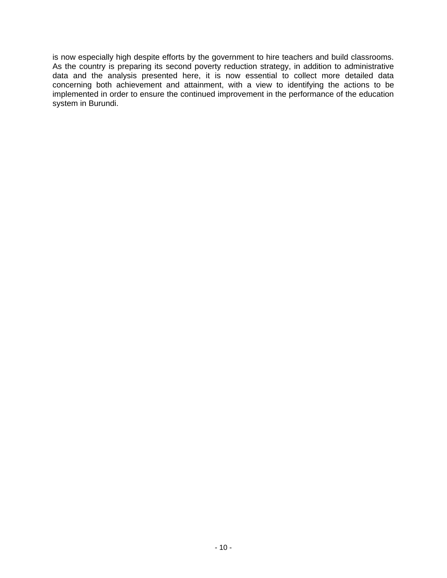is now especially high despite efforts by the government to hire teachers and build classrooms. As the country is preparing its second poverty reduction strategy, in addition to administrative data and the analysis presented here, it is now essential to collect more detailed data concerning both achievement and attainment, with a view to identifying the actions to be implemented in order to ensure the continued improvement in the performance of the education system in Burundi.